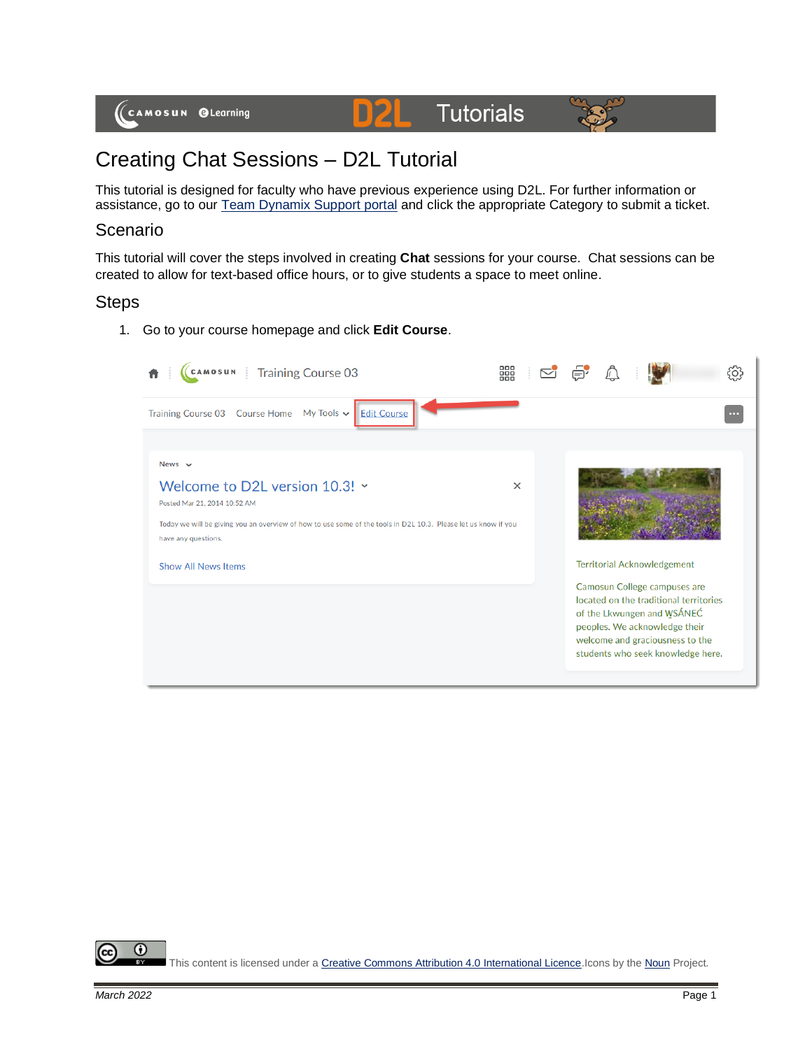

# Creating Chat Sessions – D2L Tutorial

This tutorial is designed for faculty who have previous experience using D2L. For further information or assistance, go to our [Team Dynamix Support portal](https://camosun.teamdynamix.com/TDClient/67/Portal/Requests/ServiceCatalog?CategoryID=523) and click the appropriate Category to submit a ticket.

D

### Scenario

This tutorial will cover the steps involved in creating **Chat** sessions for your course. Chat sessions can be created to allow for text-based office hours, or to give students a space to meet online.

#### **Steps**

1. Go to your course homepage and click **Edit Course**.

| CAMOSUN<br><b>Training Course 03</b>                                                                                                                                                                                                                 | 器        |                                                                                                                                                                                                                                                     | දිර}                     |
|------------------------------------------------------------------------------------------------------------------------------------------------------------------------------------------------------------------------------------------------------|----------|-----------------------------------------------------------------------------------------------------------------------------------------------------------------------------------------------------------------------------------------------------|--------------------------|
| Training Course 03 Course Home My Tools v<br><b>Edit Course</b>                                                                                                                                                                                      |          |                                                                                                                                                                                                                                                     | $\overline{\phantom{a}}$ |
| News $\sim$<br>Welcome to D2L version 10.3! ~<br>Posted Mar 21, 2014 10:52 AM<br>Today we will be giving you an overview of how to use some of the tools in D2L 10.3. Please let us know if you<br>have any questions.<br><b>Show All News Items</b> | $\times$ | <b>Territorial Acknowledgement</b><br>Camosun College campuses are<br>located on the traditional territories<br>of the Lkwungen and WSÁNEC<br>peoples. We acknowledge their<br>welcome and graciousness to the<br>students who seek knowledge here. |                          |

 $\odot$ This content is licensed under [a Creative Commons Attribution 4.0 International Licence.I](https://creativecommons.org/licenses/by/4.0/)cons by th[e Noun](https://creativecommons.org/website-icons/) Project.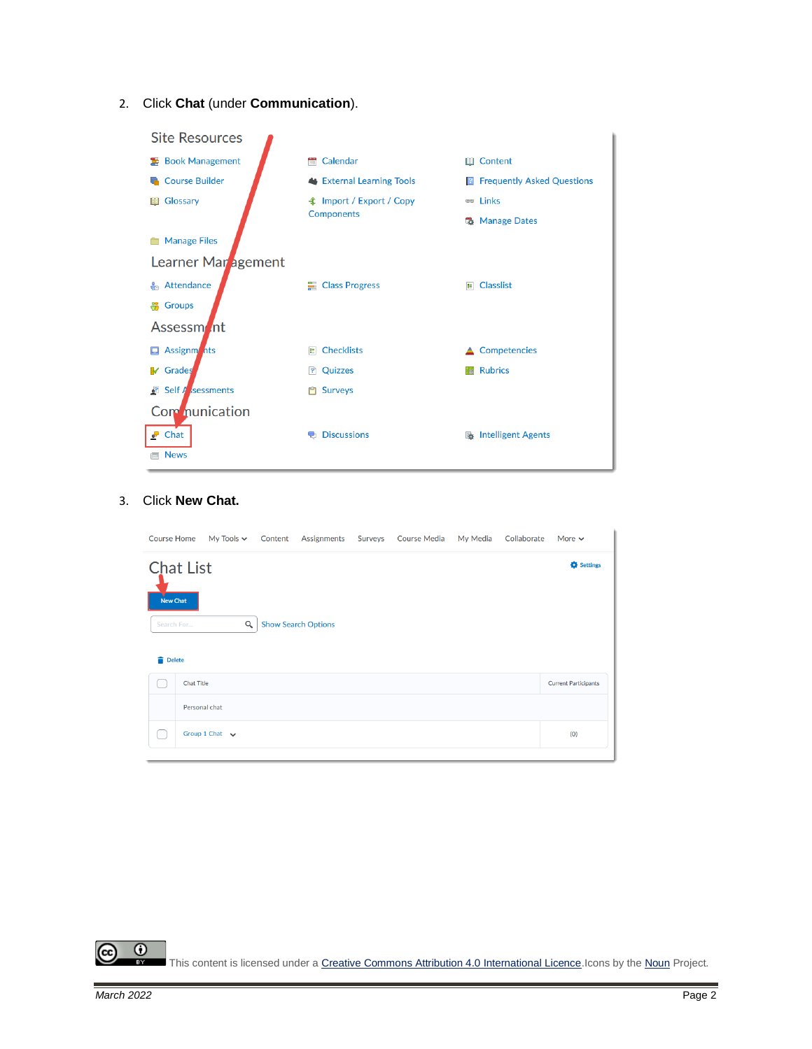2. Click **Chat** (under **Communication**).



#### 3. Click **New Chat.**

| <b>Course Home</b>                  |                   | My Tools $\sim$        | Content | Assignments                | Surveys | <b>Course Media</b> | My Media | Collaborate | More $\sim$                 |
|-------------------------------------|-------------------|------------------------|---------|----------------------------|---------|---------------------|----------|-------------|-----------------------------|
| <b>Chat List</b><br><b>New Chat</b> |                   |                        |         |                            |         |                     |          |             | Settings                    |
| Search For<br><b>Delete</b>         |                   | $\alpha$               |         | <b>Show Search Options</b> |         |                     |          |             |                             |
|                                     | <b>Chat Title</b> |                        |         |                            |         |                     |          |             | <b>Current Participants</b> |
|                                     | Personal chat     |                        |         |                            |         |                     |          |             |                             |
|                                     |                   | Group 1 Chat $\sqrt{}$ |         |                            |         |                     |          |             | (0)                         |

 $\odot$ This content is licensed under [a Creative Commons Attribution 4.0 International Licence.I](https://creativecommons.org/licenses/by/4.0/)cons by th[e Noun](https://creativecommons.org/website-icons/) Project. **BY** 

cc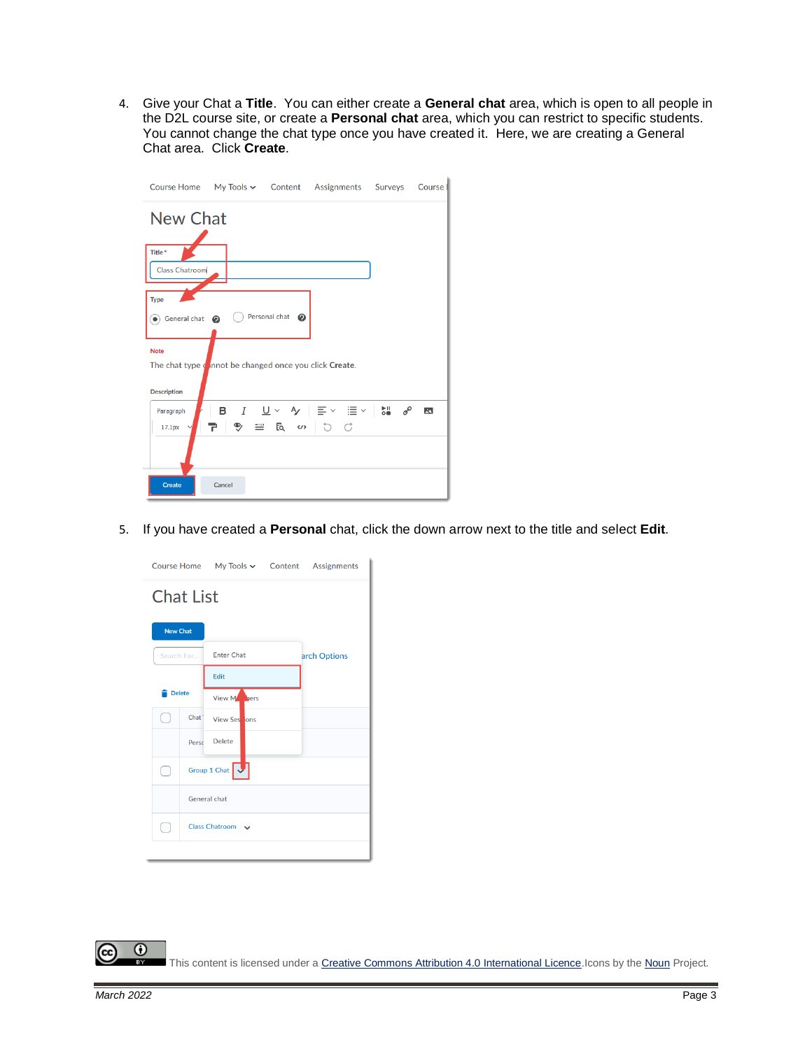4. Give your Chat a **Title**. You can either create a **General chat** area, which is open to all people in the D2L course site, or create a **Personal chat** area, which you can restrict to specific students. You cannot change the chat type once you have created it. Here, we are creating a General Chat area. Click **Create**.

|                                                                                             |        |                                     | Course Home My Tools v Content Assignments Surveys                                  | Course                  |
|---------------------------------------------------------------------------------------------|--------|-------------------------------------|-------------------------------------------------------------------------------------|-------------------------|
| <b>New Chat</b>                                                                             |        |                                     |                                                                                     |                         |
| Title*<br><b>Class Chatroom</b>                                                             |        |                                     |                                                                                     |                         |
| <b>Type</b><br>$\bullet$ General chat $\bullet$                                             |        | $\bigcirc$ Personal chat $\bigcirc$ |                                                                                     |                         |
| <b>Note</b><br>The chat type cannot be changed once you click Create.<br><b>Description</b> |        |                                     |                                                                                     |                         |
| Paragraph<br>17.1px                                                                         | Ŧ.     | $P$ = $R$ $\omega$ 0 0              | <b>B</b> $I \cup \vee \vee \vee \equiv \vee \equiv \vee \cup \cup \cup \circ \circ$ | $\overline{\mathbf{z}}$ |
| <b>Create</b>                                                                               | Cancel |                                     |                                                                                     |                         |

5. If you have created a **Personal** chat, click the down arrow next to the title and select **Edit**.

|                 |                       |                      |  | Course Home   My Tools v   Content   Assignments |  |  |  |
|-----------------|-----------------------|----------------------|--|--------------------------------------------------|--|--|--|
|                 | <b>Chat List</b>      |                      |  |                                                  |  |  |  |
| <b>New Chat</b> |                       |                      |  |                                                  |  |  |  |
| Search For      |                       | <b>Enter Chat</b>    |  | arch Options                                     |  |  |  |
|                 |                       | Edit                 |  |                                                  |  |  |  |
| <b>Delete</b>   |                       | View Mars            |  |                                                  |  |  |  |
|                 | Chat <sup>*</sup>     | <b>View Sessions</b> |  |                                                  |  |  |  |
|                 | Perso                 | <b>Delete</b>        |  |                                                  |  |  |  |
| r.              |                       | Group 1 Chat         |  |                                                  |  |  |  |
|                 | General chat          |                      |  |                                                  |  |  |  |
| L               | <b>Class Chatroom</b> |                      |  |                                                  |  |  |  |
|                 |                       |                      |  |                                                  |  |  |  |

This content is licensed under a Creative Commons Attribution 4.0 International Licence. Icons by th[e Noun](https://creativecommons.org/website-icons/) Project.

(cc)

 $\odot$ 

**BY**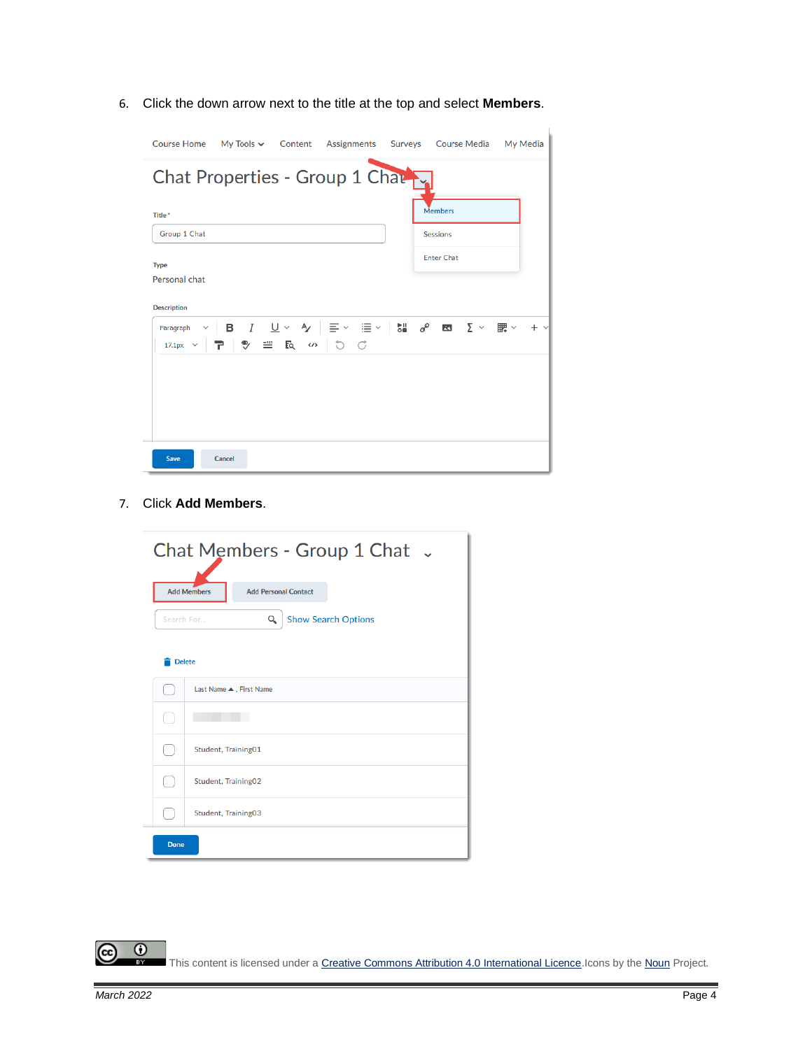6. Click the down arrow next to the title at the top and select **Members**.

| Course Home My Tools v Content Assignments Surveys Course Media My Media                                                                                                                                                                                                                                                                                                                                                                           |                   |  |
|----------------------------------------------------------------------------------------------------------------------------------------------------------------------------------------------------------------------------------------------------------------------------------------------------------------------------------------------------------------------------------------------------------------------------------------------------|-------------------|--|
| Chat Properties - Group 1 Charry                                                                                                                                                                                                                                                                                                                                                                                                                   |                   |  |
| Title*                                                                                                                                                                                                                                                                                                                                                                                                                                             | <b>Members</b>    |  |
| Group 1 Chat                                                                                                                                                                                                                                                                                                                                                                                                                                       | <b>Sessions</b>   |  |
| <b>Type</b>                                                                                                                                                                                                                                                                                                                                                                                                                                        | <b>Enter Chat</b> |  |
| Personal chat                                                                                                                                                                                                                                                                                                                                                                                                                                      |                   |  |
| <b>Description</b>                                                                                                                                                                                                                                                                                                                                                                                                                                 |                   |  |
| Paragraph $\vee$   <b>B</b> $I$   $\underline{U} \vee$   $\Rightarrow$   $\equiv \vee$   $\equiv$ $\vee$   $\stackrel{\bullet}{\equiv}$   $\stackrel{\bullet}{\sim}$   $\stackrel{\bullet}{\equiv}$   $\stackrel{\bullet}{\sim}$   $\stackrel{\bullet}{\equiv}$   $\stackrel{\bullet}{\sim}$   $\stackrel{\bullet}{\equiv}$   $\stackrel{\bullet}{\sim}$   $\stackrel{\bullet}{\equiv}$   $\stackrel{\bullet}{\sim}$   $\stackrel{\bullet}{\equiv$ |                   |  |
| 17.1px v P → B = R ω 5 C                                                                                                                                                                                                                                                                                                                                                                                                                           |                   |  |
|                                                                                                                                                                                                                                                                                                                                                                                                                                                    |                   |  |
|                                                                                                                                                                                                                                                                                                                                                                                                                                                    |                   |  |
|                                                                                                                                                                                                                                                                                                                                                                                                                                                    |                   |  |
|                                                                                                                                                                                                                                                                                                                                                                                                                                                    |                   |  |
| Cancel<br>Save                                                                                                                                                                                                                                                                                                                                                                                                                                     |                   |  |

7. Click **Add Members**.



This content is licensed under [a Creative Commons Attribution 4.0 International Licence.I](https://creativecommons.org/licenses/by/4.0/)cons by th[e Noun](https://creativecommons.org/website-icons/) Project.

(cc

 $\odot$ 

**BY**